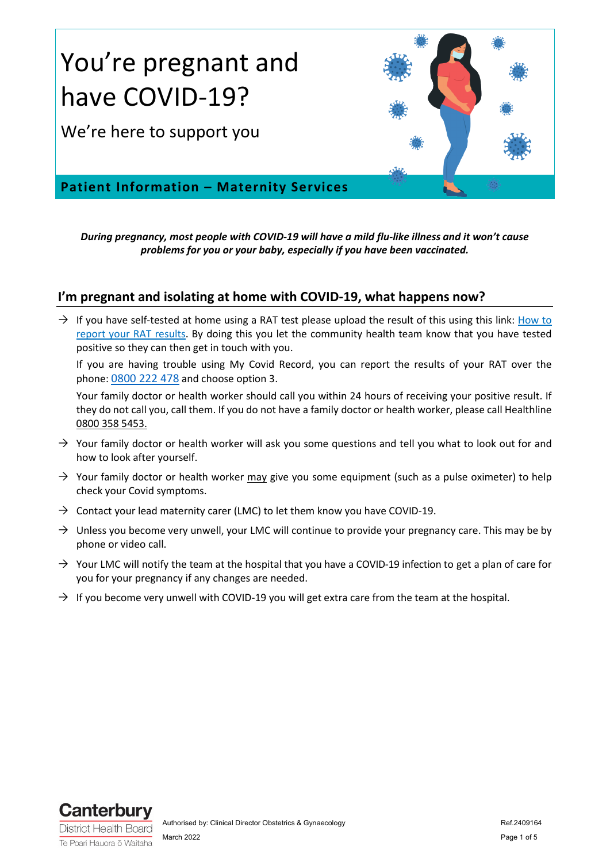

*During pregnancy, most people with COVID-19 will have a mild flu-like illness and it won't cause problems for you or your baby, especially if you have been vaccinated.*

#### **I'm pregnant and isolating at home with COVID-19, what happens now?**

 $\rightarrow$  If you have self-tested at home using a RAT test please upload the result of this using this link: How to [report your RAT results.](https://covid19.govt.nz/testing-and-tracing/covid-19-testing/report-your-rat-with-my-covid-record/) By doing this you let the community health team know that you have tested positive so they can then get in touch with you.

If you are having trouble using My Covid Record, you can report the results of your RAT over the phone: [0800 222 478](tel:0800222478) and choose option 3.

Your family doctor or health worker should call you within 24 hours of receiving your positive result. If they do not call you, call them. If you do not have a family doctor or health worker, please call Healthline 0800 358 5453.

- $\rightarrow$  Your family doctor or health worker will ask you some questions and tell you what to look out for and how to look after yourself.
- $\rightarrow$  Your family doctor or health worker may give you some equipment (such as a pulse oximeter) to help check your Covid symptoms.
- $\rightarrow$  Contact your lead maternity carer (LMC) to let them know you have COVID-19.
- $\rightarrow$  Unless you become very unwell, your LMC will continue to provide your pregnancy care. This may be by phone or video call.
- $\rightarrow$  Your LMC will notify the team at the hospital that you have a COVID-19 infection to get a plan of care for you for your pregnancy if any changes are needed.
- $\rightarrow$  If you become very unwell with COVID-19 you will get extra care from the team at the hospital.

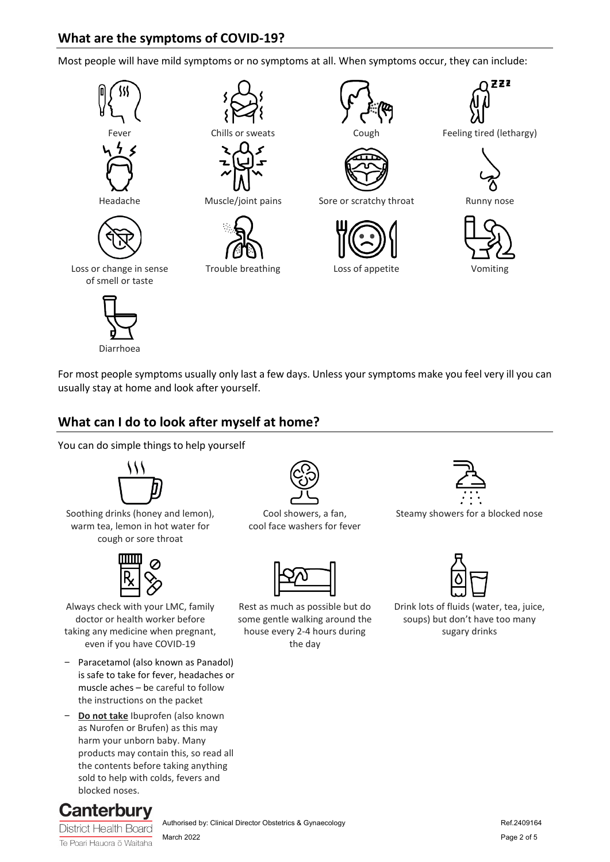# **What are the symptoms of COVID-19?**

Most people will have mild symptoms or no symptoms at all. When symptoms occur, they can include:











Headache Muscle/joint pains Sore or scratchy throat Runny nose





ZZZ

Chills or sweats Cough Feeling tired (lethargy)





Loss or change in sense of smell or taste





For most people symptoms usually only last a few days. Unless your symptoms make you feel very ill you can usually stay at home and look after yourself.

# **What can I do to look after myself at home?**

You can do simple things to help yourself



Soothing drinks (honey and lemon), warm tea, lemon in hot water for cough or sore throat



Always check with your LMC, family doctor or health worker before taking any medicine when pregnant, even if you have COVID-19

- Paracetamol (also known as Panadol) is safe to take for fever, headaches or muscle aches – be careful to follow the instructions on the packet
- **Do not take** Ibuprofen (also known as Nurofen or Brufen) as this may harm your unborn baby. Many products may contain this, so read all the contents before taking anything sold to help with colds, fevers and blocked noses.



Te Poari Hauora ō Waitaha



Cool showers, a fan, cool face washers for fever



Rest as much as possible but do some gentle walking around the house every 2-4 hours during the day



Steamy showers for a blocked nose



Drink lots of fluids (water, tea, juice, soups) but don't have too many sugary drinks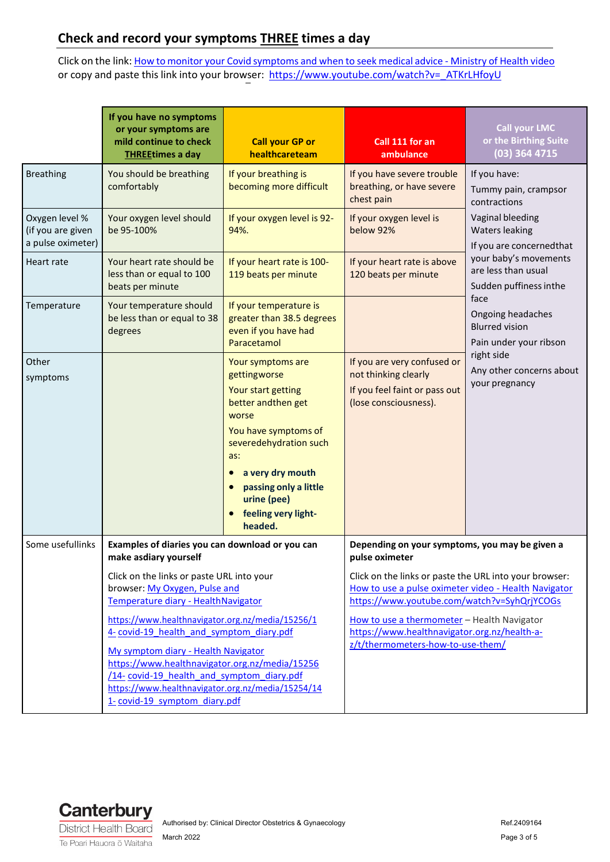# **Check and record your symptoms THREE times a day**

Click on the link: How to monitor your Covid [symptoms and](https://www.youtube.com/watch?v=_ATKrLHfoyU) when to seek medical advice - Ministry of Health video or copy and paste this link into your browser: https:/[/www.youtube.com/watch?v=\\_ATKrLHfoyU](http://www.youtube.com/watch?v=_ATKrLHfoyU)

|                                                          | If you have no symptoms<br>or your symptoms are<br>mild continue to check<br><b>THREEtimes a day</b>                                                                                                                                                                                                                      | <b>Call your GP or</b><br>healthcareteam                                                                                                                                                                                                                   | Call 111 for an<br>ambulance                                                                                                                                                                                                                                                                      | <b>Call your LMC</b><br>or the Birthing Suite<br>(03) 364 4715                                                                                                                                                                                                                                                                                       |
|----------------------------------------------------------|---------------------------------------------------------------------------------------------------------------------------------------------------------------------------------------------------------------------------------------------------------------------------------------------------------------------------|------------------------------------------------------------------------------------------------------------------------------------------------------------------------------------------------------------------------------------------------------------|---------------------------------------------------------------------------------------------------------------------------------------------------------------------------------------------------------------------------------------------------------------------------------------------------|------------------------------------------------------------------------------------------------------------------------------------------------------------------------------------------------------------------------------------------------------------------------------------------------------------------------------------------------------|
| <b>Breathing</b>                                         | You should be breathing<br>comfortably                                                                                                                                                                                                                                                                                    | If your breathing is<br>becoming more difficult                                                                                                                                                                                                            | If you have severe trouble<br>breathing, or have severe<br>chest pain                                                                                                                                                                                                                             | If you have:<br>Tummy pain, crampsor<br>contractions<br>Vaginal bleeding<br><b>Waters leaking</b><br>If you are concerned that<br>your baby's movements<br>are less than usual<br>Sudden puffiness inthe<br>face<br>Ongoing headaches<br><b>Blurred vision</b><br>Pain under your ribson<br>right side<br>Any other concerns about<br>your pregnancy |
| Oxygen level %<br>(if you are given<br>a pulse oximeter) | Your oxygen level should<br>be 95-100%                                                                                                                                                                                                                                                                                    | If your oxygen level is 92-<br>94%.                                                                                                                                                                                                                        | If your oxygen level is<br>below 92%                                                                                                                                                                                                                                                              |                                                                                                                                                                                                                                                                                                                                                      |
| <b>Heart rate</b>                                        | Your heart rate should be<br>less than or equal to 100<br>beats per minute                                                                                                                                                                                                                                                | If your heart rate is 100-<br>119 beats per minute                                                                                                                                                                                                         | If your heart rate is above<br>120 beats per minute                                                                                                                                                                                                                                               |                                                                                                                                                                                                                                                                                                                                                      |
| Temperature                                              | Your temperature should<br>be less than or equal to 38<br>degrees                                                                                                                                                                                                                                                         | If your temperature is<br>greater than 38.5 degrees<br>even if you have had<br>Paracetamol                                                                                                                                                                 |                                                                                                                                                                                                                                                                                                   |                                                                                                                                                                                                                                                                                                                                                      |
| Other<br>symptoms                                        |                                                                                                                                                                                                                                                                                                                           | Your symptoms are<br>gettingworse<br>Your start getting<br>better andthen get<br>worse<br>You have symptoms of<br>severedehydration such<br>as:<br>a very dry mouth<br>$\bullet$<br>passing only a little<br>urine (pee)<br>feeling very light-<br>headed. | If you are very confused or<br>not thinking clearly<br>If you feel faint or pass out<br>(lose consciousness).                                                                                                                                                                                     |                                                                                                                                                                                                                                                                                                                                                      |
| Some usefullinks                                         | Examples of diaries you can download or you can<br>make asdiary yourself<br>Click on the links or paste URL into your<br>browser: My Oxygen, Pulse and<br>Temperature diary - HealthNavigator                                                                                                                             |                                                                                                                                                                                                                                                            | Depending on your symptoms, you may be given a<br>pulse oximeter                                                                                                                                                                                                                                  |                                                                                                                                                                                                                                                                                                                                                      |
|                                                          |                                                                                                                                                                                                                                                                                                                           |                                                                                                                                                                                                                                                            | Click on the links or paste the URL into your browser:<br>How to use a pulse oximeter video - Health Navigator<br>https://www.youtube.com/watch?v=SyhQrjYCOGs<br>How to use a thermometer - Health Navigator<br>https://www.healthnavigator.org.nz/health-a-<br>z/t/thermometers-how-to-use-them/ |                                                                                                                                                                                                                                                                                                                                                      |
|                                                          | https://www.healthnavigator.org.nz/media/15256/1<br>4- covid-19 health and symptom diary.pdf<br>My symptom diary - Health Navigator<br>https://www.healthnavigator.org.nz/media/15256<br>/14- covid-19 health and symptom diary.pdf<br>https://www.healthnavigator.org.nz/media/15254/14<br>1- covid-19 symptom diary.pdf |                                                                                                                                                                                                                                                            |                                                                                                                                                                                                                                                                                                   |                                                                                                                                                                                                                                                                                                                                                      |

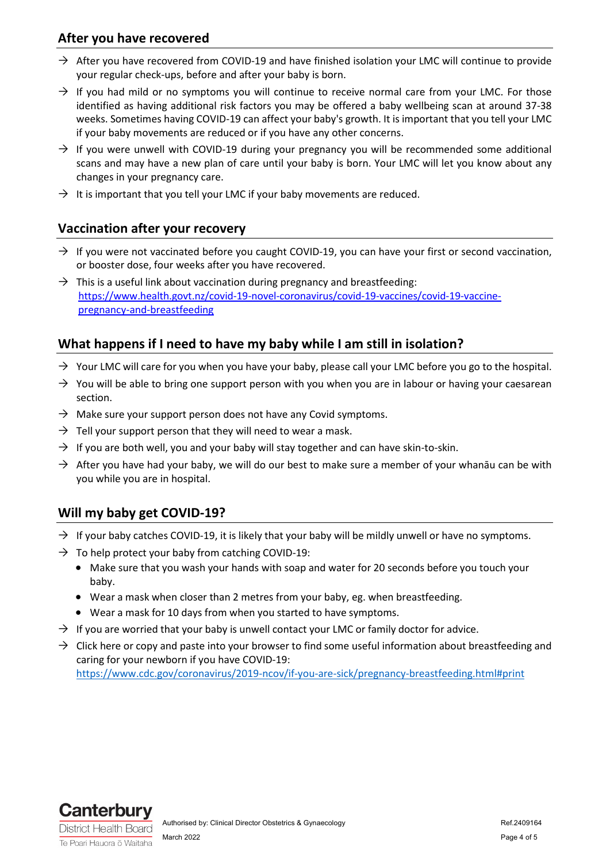#### **After you have recovered**

- $\rightarrow$  After you have recovered from COVID-19 and have finished isolation your LMC will continue to provide your regular check-ups, before and after your baby is born.
- $\rightarrow$  If you had mild or no symptoms you will continue to receive normal care from your LMC. For those identified as having additional risk factors you may be offered a baby wellbeing scan at around 37-38 weeks. Sometimes having COVID-19 can affect your baby's growth. It is important that you tell your LMC if your baby movements are reduced or if you have any other concerns.
- $\rightarrow$  If you were unwell with COVID-19 during your pregnancy you will be recommended some additional scans and may have a new plan of care until your baby is born. Your LMC will let you know about any changes in your pregnancy care.
- $\rightarrow$  It is important that you tell your LMC if your baby movements are reduced.

#### **Vaccination after your recovery**

- $\rightarrow$  If you were not vaccinated before you caught COVID-19, you can have your first or second vaccination, or booster dose, four weeks after you have recovered.
- $\rightarrow$  This is a useful link about vaccination during pregnancy and breastfeeding: [https://www.health.govt.nz/covid-19-novel-coronavirus/covid-19-vaccines/covid-19-vaccine](https://www.health.govt.nz/covid-19-novel-coronavirus/covid-19-vaccines/covid-19-vaccine-pregnancy-and-breastfeeding)[pregnancy-and-breastfeeding](https://www.health.govt.nz/covid-19-novel-coronavirus/covid-19-vaccines/covid-19-vaccine-pregnancy-and-breastfeeding)

### **What happens if I need to have my baby while I am still in isolation?**

- $\rightarrow$  Your LMC will care for you when you have your baby, please call your LMC before you go to the hospital.
- $\rightarrow$  You will be able to bring one support person with you when you are in labour or having your caesarean section.
- $\rightarrow$  Make sure your support person does not have any Covid symptoms.
- $\rightarrow$  Tell your support person that they will need to wear a mask.
- $\rightarrow$  If you are both well, you and your baby will stay together and can have skin-to-skin.
- $\rightarrow$  After you have had your baby, we will do our best to make sure a member of your whanāu can be with you while you are in hospital.

### **Will my baby get COVID-19?**

- $\rightarrow$  If your baby catches COVID-19, it is likely that your baby will be mildly unwell or have no symptoms.
- $\rightarrow$  To help protect your baby from catching COVID-19:
	- Make sure that you wash your hands with soap and water for 20 seconds before you touch your baby.
	- Wear a mask when closer than 2 metres from your baby, eg. when breastfeeding.
	- Wear a mask for 10 days from when you started to have symptoms.
- $\rightarrow$  If you are worried that your baby is unwell contact your LMC or family doctor for advice.
- $\rightarrow$  Click here or copy and paste into your browser to find some useful information about breastfeeding and caring for your newborn if you have COVID-19: <https://www.cdc.gov/coronavirus/2019-ncov/if-you-are-sick/pregnancy-breastfeeding.html#print>